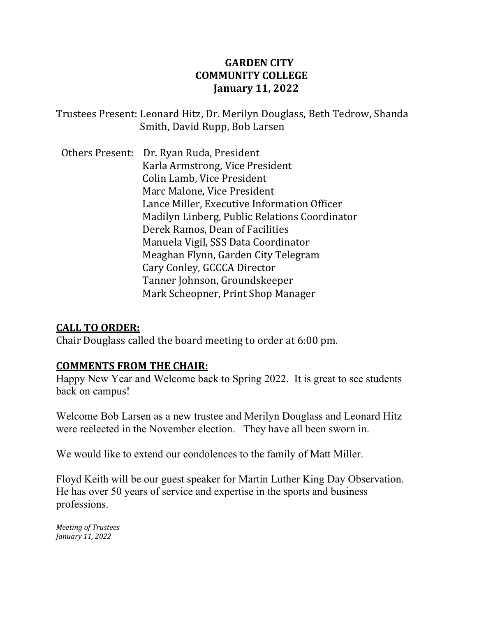# **GARDEN CITY COMMUNITY COLLEGE January 11, 2022**

Trustees Present: Leonard Hitz, Dr. Merilyn Douglass, Beth Tedrow, Shanda Smith, David Rupp, Bob Larsen

Others Present: Dr. Ryan Ruda, President Karla Armstrong, Vice President Colin Lamb, Vice President Marc Malone, Vice President Lance Miller, Executive Information Officer Madilyn Linberg, Public Relations Coordinator Derek Ramos, Dean of Facilities Manuela Vigil, SSS Data Coordinator Meaghan Flynn, Garden City Telegram Cary Conley, GCCCA Director Tanner Johnson, Groundskeeper Mark Scheopner, Print Shop Manager

# **CALL TO ORDER:**

Chair Douglass called the board meeting to order at 6:00 pm.

#### **COMMENTS FROM THE CHAIR:**

Happy New Year and Welcome back to Spring 2022. It is great to see students back on campus!

Welcome Bob Larsen as a new trustee and Merilyn Douglass and Leonard Hitz were reelected in the November election. They have all been sworn in.

We would like to extend our condolences to the family of Matt Miller.

Floyd Keith will be our guest speaker for Martin Luther King Day Observation. He has over 50 years of service and expertise in the sports and business professions.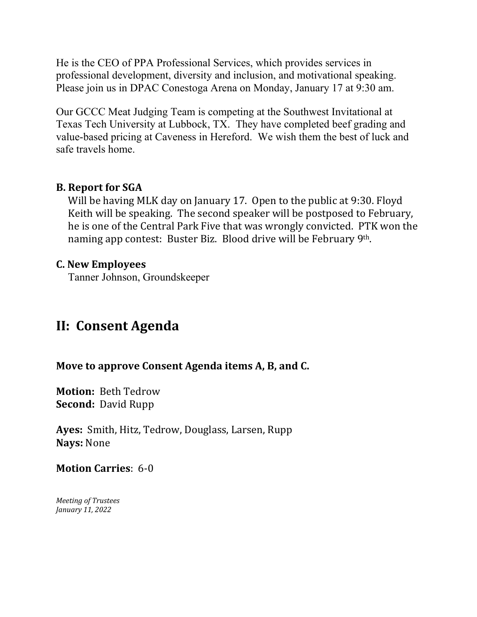He is the CEO of PPA Professional Services, which provides services in professional development, diversity and inclusion, and motivational speaking. Please join us in DPAC Conestoga Arena on Monday, January 17 at 9:30 am.

Our GCCC Meat Judging Team is competing at the Southwest Invitational at Texas Tech University at Lubbock, TX. They have completed beef grading and value-based pricing at Caveness in Hereford. We wish them the best of luck and safe travels home.

### **B. Report for SGA**

Will be having MLK day on January 17. Open to the public at 9:30. Floyd Keith will be speaking. The second speaker will be postposed to February, he is one of the Central Park Five that was wrongly convicted. PTK won the naming app contest: Buster Biz. Blood drive will be February 9th.

#### **C. New Employees**

Tanner Johnson, Groundskeeper

# **II: Consent Agenda**

# **Move to approve Consent Agenda items A, B, and C.**

**Motion:** Beth Tedrow **Second:** David Rupp

**Ayes:** Smith, Hitz, Tedrow, Douglass, Larsen, Rupp **Nays:** None

**Motion Carries**: 6-0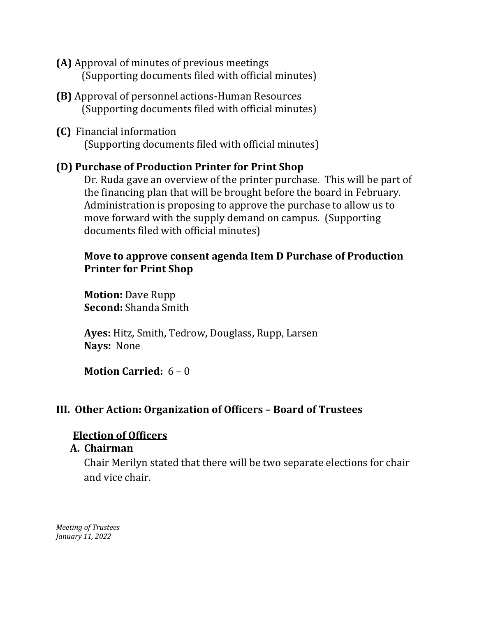- **(A)** Approval of minutes of previous meetings (Supporting documents filed with official minutes)
- **(B)** Approval of personnel actions-Human Resources (Supporting documents filed with official minutes)
- **(C)** Financial information (Supporting documents filed with official minutes)

### **(D) Purchase of Production Printer for Print Shop**

Dr. Ruda gave an overview of the printer purchase. This will be part of the financing plan that will be brought before the board in February. Administration is proposing to approve the purchase to allow us to move forward with the supply demand on campus. (Supporting documents filed with official minutes)

### **Move to approve consent agenda Item D Purchase of Production Printer for Print Shop**

**Motion:** Dave Rupp **Second:** Shanda Smith

**Ayes:** Hitz, Smith, Tedrow, Douglass, Rupp, Larsen **Nays:** None

**Motion Carried:** 6 – 0

# **III. Other Action: Organization of Officers – Board of Trustees**

#### **Election of Officers**

#### **A. Chairman**

Chair Merilyn stated that there will be two separate elections for chair and vice chair.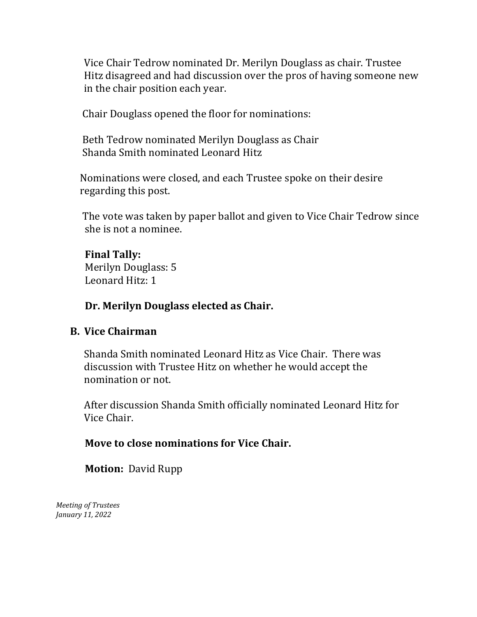Vice Chair Tedrow nominated Dr. Merilyn Douglass as chair. Trustee Hitz disagreed and had discussion over the pros of having someone new in the chair position each year.

Chair Douglass opened the floor for nominations:

 Beth Tedrow nominated Merilyn Douglass as Chair Shanda Smith nominated Leonard Hitz

 Nominations were closed, and each Trustee spoke on their desire regarding this post.

 The vote was taken by paper ballot and given to Vice Chair Tedrow since she is not a nominee.

#### **Final Tally:**

 Merilyn Douglass: 5 Leonard Hitz: 1

#### **Dr. Merilyn Douglass elected as Chair.**

#### **B. Vice Chairman**

Shanda Smith nominated Leonard Hitz as Vice Chair. There was discussion with Trustee Hitz on whether he would accept the nomination or not.

After discussion Shanda Smith officially nominated Leonard Hitz for Vice Chair.

#### **Move to close nominations for Vice Chair.**

 **Motion:** David Rupp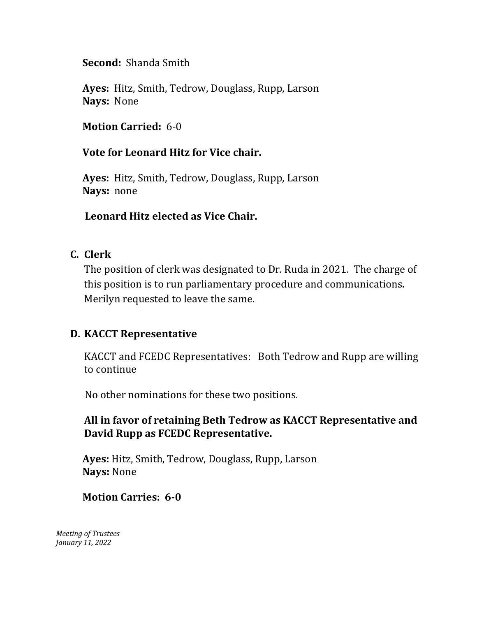**Second:** Shanda Smith

 **Ayes:** Hitz, Smith, Tedrow, Douglass, Rupp, Larson  **Nays:** None

 **Motion Carried:** 6-0

 **Vote for Leonard Hitz for Vice chair.** 

 **Ayes:** Hitz, Smith, Tedrow, Douglass, Rupp, Larson  **Nays:** none

 **Leonard Hitz elected as Vice Chair.** 

# **C. Clerk**

The position of clerk was designated to Dr. Ruda in 2021. The charge of this position is to run parliamentary procedure and communications. Merilyn requested to leave the same.

# **D. KACCT Representative**

KACCT and FCEDC Representatives: Both Tedrow and Rupp are willing to continue

No other nominations for these two positions.

# **All in favor of retaining Beth Tedrow as KACCT Representative and David Rupp as FCEDC Representative.**

 **Ayes:** Hitz, Smith, Tedrow, Douglass, Rupp, Larson  **Nays:** None

# **Motion Carries: 6-0**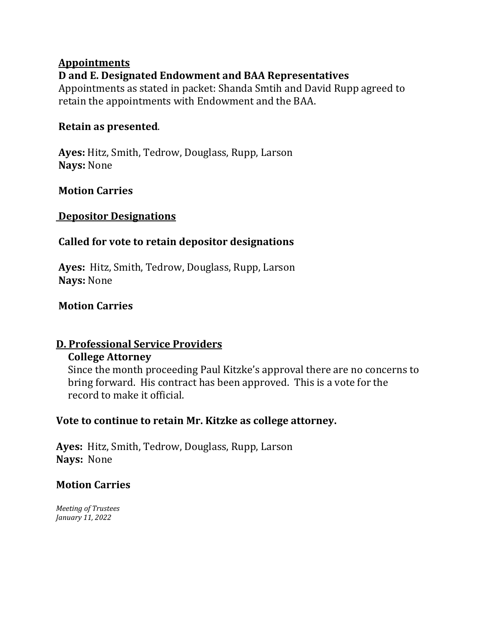# **Appointments D and E. Designated Endowment and BAA Representatives**

Appointments as stated in packet: Shanda Smtih and David Rupp agreed to retain the appointments with Endowment and the BAA.

# **Retain as presented**.

**Ayes:** Hitz, Smith, Tedrow, Douglass, Rupp, Larson **Nays:** None

# **Motion Carries**

### **Depositor Designations**

# **Called for vote to retain depositor designations**

**Ayes:** Hitz, Smith, Tedrow, Douglass, Rupp, Larson **Nays:** None

# **Motion Carries**

# **D. Professional Service Providers**

# **College Attorney**

 Since the month proceeding Paul Kitzke's approval there are no concerns to bring forward. His contract has been approved. This is a vote for the record to make it official.

# **Vote to continue to retain Mr. Kitzke as college attorney.**

**Ayes:** Hitz, Smith, Tedrow, Douglass, Rupp, Larson **Nays:** None

# **Motion Carries**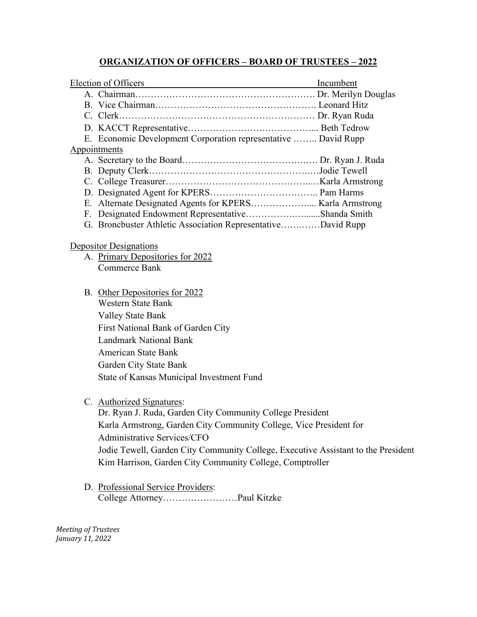#### **ORGANIZATION OF OFFICERS – BOARD OF TRUSTEES – 2022**

|  | Election of Officers Incumbent                                                    |  |
|--|-----------------------------------------------------------------------------------|--|
|  |                                                                                   |  |
|  |                                                                                   |  |
|  |                                                                                   |  |
|  |                                                                                   |  |
|  | E. Economic Development Corporation representative  David Rupp                    |  |
|  | Appointments                                                                      |  |
|  |                                                                                   |  |
|  |                                                                                   |  |
|  |                                                                                   |  |
|  |                                                                                   |  |
|  |                                                                                   |  |
|  | F. Designated Endowment RepresentativeShanda Smith                                |  |
|  | G. Broncbuster Athletic Association RepresentativeDavid Rupp                      |  |
|  | <b>Depositor Designations</b>                                                     |  |
|  | A. Primary Depositories for 2022                                                  |  |
|  | Commerce Bank                                                                     |  |
|  |                                                                                   |  |
|  | B. Other Depositories for 2022                                                    |  |
|  | <b>Western State Bank</b>                                                         |  |
|  | <b>Valley State Bank</b>                                                          |  |
|  | First National Bank of Garden City                                                |  |
|  | <b>Landmark National Bank</b>                                                     |  |
|  | <b>American State Bank</b>                                                        |  |
|  | Garden City State Bank                                                            |  |
|  | State of Kansas Municipal Investment Fund                                         |  |
|  |                                                                                   |  |
|  | C. Authorized Signatures:                                                         |  |
|  | Dr. Ryan J. Ruda, Garden City Community College President                         |  |
|  | Karla Armstrong, Garden City Community College, Vice President for                |  |
|  | <b>Administrative Services/CFO</b>                                                |  |
|  | Jodie Tewell, Garden City Community College, Executive Assistant to the President |  |
|  | Kim Harrison, Garden City Community College, Comptroller                          |  |
|  |                                                                                   |  |

D. Professional Service Providers: College Attorney……………………Paul Kitzke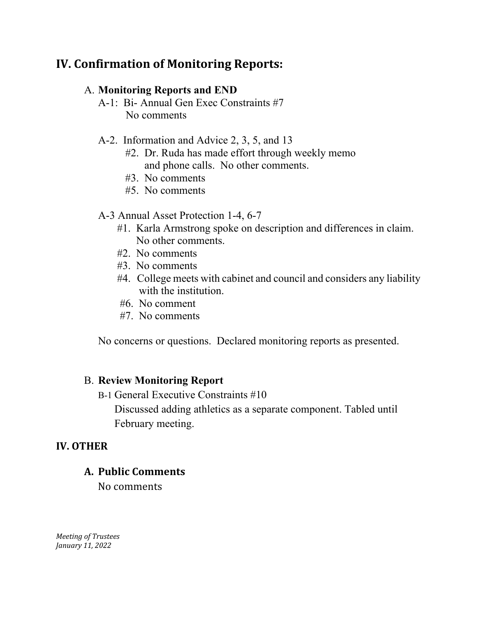# **IV. Confirmation of Monitoring Reports:**

#### A. **Monitoring Reports and END**

A-1: Bi- Annual Gen Exec Constraints #7 No comments

#### A-2. Information and Advice 2, 3, 5, and 13

- #2. Dr. Ruda has made effort through weekly memo and phone calls. No other comments.
- #3. No comments
- #5. No comments

#### A-3 Annual Asset Protection 1-4, 6-7

- #1. Karla Armstrong spoke on description and differences in claim. No other comments.
- #2. No comments
- #3. No comments
- #4. College meets with cabinet and council and considers any liability with the institution.
- #6. No comment
- #7. No comments

No concerns or questions. Declared monitoring reports as presented.

#### B. **Review Monitoring Report**

B-1 General Executive Constraints #10

 Discussed adding athletics as a separate component. Tabled until February meeting.

#### **IV. OTHER**

#### **A. Public Comments**

No comments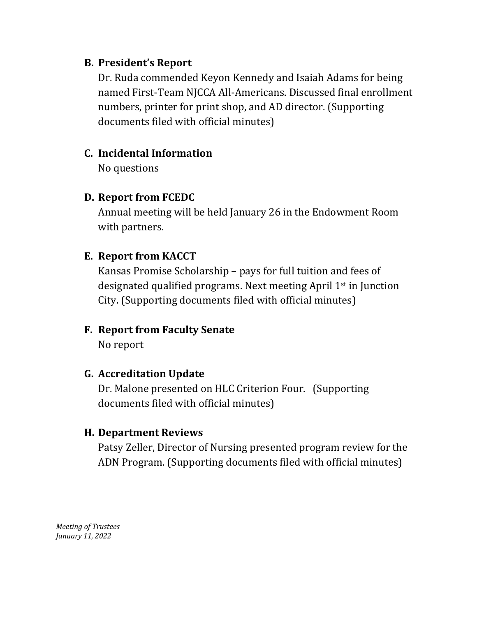### **B. President's Report**

Dr. Ruda commended Keyon Kennedy and Isaiah Adams for being named First-Team NJCCA All-Americans. Discussed final enrollment numbers, printer for print shop, and AD director. (Supporting documents filed with official minutes)

# **C. Incidental Information**

No questions

# **D. Report from FCEDC**

Annual meeting will be held January 26 in the Endowment Room with partners.

# **E. Report from KACCT**

Kansas Promise Scholarship – pays for full tuition and fees of designated qualified programs. Next meeting April 1st in Junction City. (Supporting documents filed with official minutes)

# **F. Report from Faculty Senate**

No report

# **G. Accreditation Update**

Dr. Malone presented on HLC Criterion Four. (Supporting documents filed with official minutes)

# **H. Department Reviews**

Patsy Zeller, Director of Nursing presented program review for the ADN Program. (Supporting documents filed with official minutes)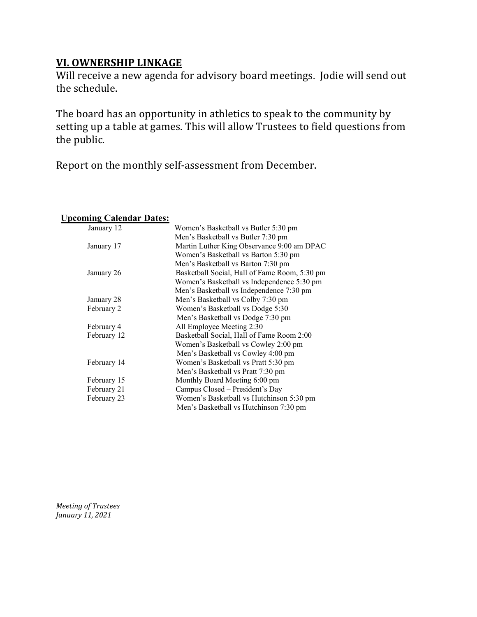### **VI. OWNERSHIP LINKAGE**

Will receive a new agenda for advisory board meetings. Jodie will send out the schedule.

The board has an opportunity in athletics to speak to the community by setting up a table at games. This will allow Trustees to field questions from the public.

Report on the monthly self-assessment from December.

#### **Upcoming Calendar Dates:**

| January 12  | Women's Basketball vs Butler 5:30 pm          |  |
|-------------|-----------------------------------------------|--|
|             | Men's Basketball vs Butler 7:30 pm            |  |
| January 17  | Martin Luther King Observance 9:00 am DPAC    |  |
|             | Women's Basketball vs Barton 5:30 pm          |  |
|             | Men's Basketball vs Barton 7:30 pm            |  |
| January 26  | Basketball Social, Hall of Fame Room, 5:30 pm |  |
|             | Women's Basketball vs Independence 5:30 pm    |  |
|             | Men's Basketball vs Independence 7:30 pm      |  |
| January 28  | Men's Basketball vs Colby 7:30 pm             |  |
| February 2  | Women's Basketball vs Dodge 5:30              |  |
|             | Men's Basketball vs Dodge 7:30 pm             |  |
| February 4  | All Employee Meeting 2:30                     |  |
| February 12 | Basketball Social, Hall of Fame Room 2:00     |  |
|             | Women's Basketball vs Cowley 2:00 pm          |  |
|             | Men's Basketball vs Cowley 4:00 pm            |  |
| February 14 | Women's Basketball vs Pratt 5:30 pm           |  |
|             | Men's Basketball vs Pratt 7:30 pm             |  |
| February 15 | Monthly Board Meeting 6:00 pm                 |  |
| February 21 | Campus Closed – President's Day               |  |
| February 23 | Women's Basketball vs Hutchinson 5:30 pm      |  |
|             | Men's Basketball vs Hutchinson 7:30 pm        |  |